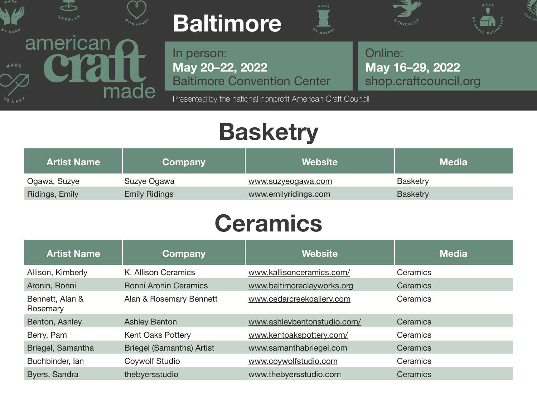

made

# **Baltimore**





**May 20–22, 2022** In person: Baltimore Convention Center

Presented by the national nonprofit American Craft Council

**May 16–29, 2022** Online: [shop.craftcouncil.org](http://shop.craftcouncil.org)

### **Basketry**

| <b>Artist Name</b> | Company              | Website              | <b>Media</b>    |
|--------------------|----------------------|----------------------|-----------------|
| Ogawa, Suzye       | Suzye Ogawa          | www.suzyeogawa.com   | <b>Basketry</b> |
| Ridings, Emily     | <b>Emily Ridings</b> | www.emilyridings.com | <b>Basketry</b> |

## **Ceramics**

| <b>Artist Name</b>          | Company                          | Website                     | <b>Media</b> |
|-----------------------------|----------------------------------|-----------------------------|--------------|
| Allison, Kimberly           | K. Allison Ceramics              | www.kallisonceramics.com/   | Ceramics     |
| Aronin, Ronni               | <b>Ronni Aronin Ceramics</b>     | www.baltimoreclayworks.org  | Ceramics     |
| Bennett, Alan &<br>Rosemary | Alan & Rosemary Bennett          | www.cedarcreekgallery.com   | Ceramics     |
| Benton, Ashley              | <b>Ashley Benton</b>             | www.ashleybentonstudio.com/ | Ceramics     |
| Berry, Pam                  | Kent Oaks Pottery                | www.kentoakspottery.com/    | Ceramics     |
| Briegel, Samantha           | <b>Briegel (Samantha) Artist</b> | www.samanthabriegel.com     | Ceramics     |
| Buchbinder, lan             | Coywolf Studio                   | www.coywolfstudio.com       | Ceramics     |
| Byers, Sandra               | thebyersstudio                   | www.thebyersstudio.com      | Ceramics     |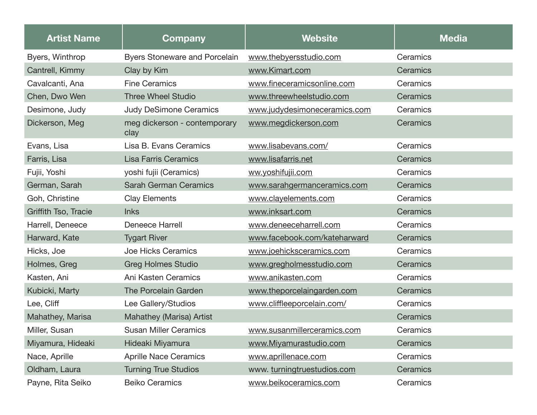| <b>Artist Name</b>   | <b>Company</b>                       | <b>Website</b>               | <b>Media</b> |
|----------------------|--------------------------------------|------------------------------|--------------|
| Byers, Winthrop      | <b>Byers Stoneware and Porcelain</b> | www.thebyersstudio.com       | Ceramics     |
| Cantrell, Kimmy      | Clay by Kim                          | www.Kimart.com               | Ceramics     |
| Cavalcanti, Ana      | <b>Fine Ceramics</b>                 | www.fineceramicsonline.com   | Ceramics     |
| Chen, Dwo Wen        | <b>Three Wheel Studio</b>            | www.threewheelstudio.com     | Ceramics     |
| Desimone, Judy       | <b>Judy DeSimone Ceramics</b>        | www.judydesimoneceramics.com | Ceramics     |
| Dickerson, Meg       | meg dickerson - contemporary<br>clay | www.megdickerson.com         | Ceramics     |
| Evans, Lisa          | Lisa B. Evans Ceramics               | www.lisabevans.com/          | Ceramics     |
| Farris, Lisa         | <b>Lisa Farris Ceramics</b>          | www.lisafarris.net           | Ceramics     |
| Fujii, Yoshi         | yoshi fujii (Ceramics)               | ww.yoshifujii.com            | Ceramics     |
| German, Sarah        | <b>Sarah German Ceramics</b>         | www.sarahgermanceramics.com  | Ceramics     |
| Goh, Christine       | <b>Clay Elements</b>                 | www.clayelements.com         | Ceramics     |
| Griffith Tso, Tracie | <b>Inks</b>                          | www.inksart.com              | Ceramics     |
| Harrell, Deneece     | <b>Deneece Harrell</b>               | www.deneeceharrell.com       | Ceramics     |
| Harward, Kate        | <b>Tygart River</b>                  | www.facebook.com/kateharward | Ceramics     |
| Hicks, Joe           | Joe Hicks Ceramics                   | www.joehicksceramics.com     | Ceramics     |
| Holmes, Greg         | <b>Greg Holmes Studio</b>            | www.gregholmesstudio.com     | Ceramics     |
| Kasten, Ani          | Ani Kasten Ceramics                  | www.anikasten.com            | Ceramics     |
| Kubicki, Marty       | The Porcelain Garden                 | www.theporcelaingarden.com   | Ceramics     |
| Lee, Cliff           | Lee Gallery/Studios                  | www.cliffleeporcelain.com/   | Ceramics     |
| Mahathey, Marisa     | Mahathey (Marisa) Artist             |                              | Ceramics     |
| Miller, Susan        | <b>Susan Miller Ceramics</b>         | www.susanmillerceramics.com  | Ceramics     |
| Miyamura, Hideaki    | Hideaki Miyamura                     | www.Miyamurastudio.com       | Ceramics     |
| Nace, Aprille        | <b>Aprille Nace Ceramics</b>         | www.aprillenace.com          | Ceramics     |
| Oldham, Laura        | <b>Turning True Studios</b>          | www. turningtruestudios.com  | Ceramics     |
| Payne, Rita Seiko    | <b>Beiko Ceramics</b>                | www.beikoceramics.com        | Ceramics     |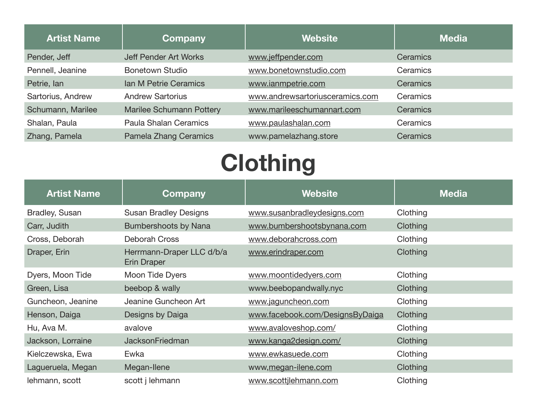| <b>Artist Name</b> | <b>Company</b>                  | <b>Website</b>                  | <b>Media</b> |
|--------------------|---------------------------------|---------------------------------|--------------|
| Pender, Jeff       | <b>Jeff Pender Art Works</b>    | www.jeffpender.com              | Ceramics     |
| Pennell, Jeanine   | <b>Bonetown Studio</b>          | www.bonetownstudio.com          | Ceramics     |
| Petrie, Ian        | Ian M Petrie Ceramics           | www.ianmpetrie.com              | Ceramics     |
| Sartorius, Andrew  | <b>Andrew Sartorius</b>         | www.andrewsartoriusceramics.com | Ceramics     |
| Schumann, Marilee  | <b>Marilee Schumann Pottery</b> | www.marileeschumannart.com      | Ceramics     |
| Shalan, Paula      | <b>Paula Shalan Ceramics</b>    | www.paulashalan.com             | Ceramics     |
| Zhang, Pamela      | <b>Pamela Zhang Ceramics</b>    | www.pamelazhang.store           | Ceramics     |

## **Clothing**

| <b>Artist Name</b>    | Company                                  | <b>Website</b>                  | Media    |
|-----------------------|------------------------------------------|---------------------------------|----------|
| <b>Bradley, Susan</b> | <b>Susan Bradley Designs</b>             | www.susanbradleydesigns.com     | Clothing |
| Carr, Judith          | Bumbershoots by Nana                     | www.bumbershootsbynana.com      | Clothing |
| Cross, Deborah        | Deborah Cross                            | www.deborahcross.com            | Clothing |
| Draper, Erin          | Herrmann-Draper LLC d/b/a<br>Erin Draper | www.erindraper.com              | Clothing |
| Dyers, Moon Tide      | Moon Tide Dyers                          | www.moontidedyers.com           | Clothing |
| Green, Lisa           | beebop & wally                           | www.beebopandwally.nyc          | Clothing |
| Guncheon, Jeanine     | Jeanine Guncheon Art                     | www.jaguncheon.com              | Clothing |
| Henson, Daiga         | Designs by Daiga                         | www.facebook.com/DesignsByDaiga | Clothing |
| Hu, Ava M.            | avalove                                  | www.avaloveshop.com/            | Clothing |
| Jackson, Lorraine     | <b>JacksonFriedman</b>                   | www.kanga2design.com/           | Clothing |
| Kielczewska, Ewa      | Ewka                                     | www.ewkasuede.com               | Clothing |
| Lagueruela, Megan     | Megan-Ilene                              | www, megan-ilene.com            | Clothing |
| lehmann, scott        | scott j lehmann                          | www.scottjlehmann.com           | Clothing |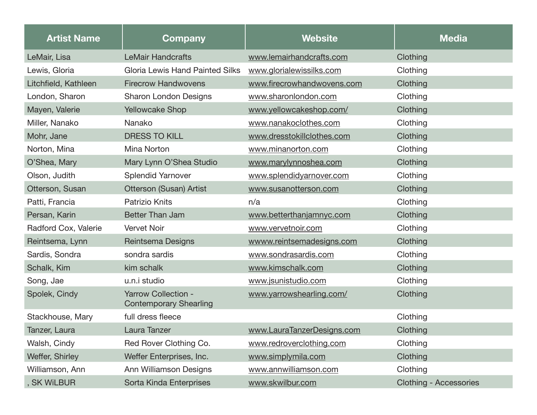| <b>Artist Name</b>   | <b>Company</b>                                              | <b>Website</b>             | <b>Media</b>                  |
|----------------------|-------------------------------------------------------------|----------------------------|-------------------------------|
| LeMair, Lisa         | <b>LeMair Handcrafts</b>                                    | www.lemairhandcrafts.com   | Clothing                      |
| Lewis, Gloria        | <b>Gloria Lewis Hand Painted Silks</b>                      | www.glorialewissilks.com   | Clothing                      |
| Litchfield, Kathleen | <b>Firecrow Handwovens</b>                                  | www.firecrowhandwovens.com | Clothing                      |
| London, Sharon       | <b>Sharon London Designs</b>                                | www.sharonlondon.com       | Clothing                      |
| Mayen, Valerie       | <b>Yellowcake Shop</b>                                      | www.yellowcakeshop.com/    | Clothing                      |
| Miller, Nanako       | Nanako                                                      | www.nanakoclothes.com      | Clothing                      |
| Mohr, Jane           | <b>DRESS TO KILL</b>                                        | www.dresstokillclothes.com | Clothing                      |
| Norton, Mina         | Mina Norton                                                 | www.minanorton.com         | Clothing                      |
| O'Shea, Mary         | Mary Lynn O'Shea Studio                                     | www.marylynnoshea.com      | Clothing                      |
| Olson, Judith        | <b>Splendid Yarnover</b>                                    | www.splendidyarnover.com   | Clothing                      |
| Otterson, Susan      | Otterson (Susan) Artist                                     | www.susanotterson.com      | Clothing                      |
| Patti, Francia       | <b>Patrizio Knits</b>                                       | n/a                        | Clothing                      |
| Persan, Karin        | <b>Better Than Jam</b>                                      | www.betterthanjamnyc.com   | Clothing                      |
| Radford Cox, Valerie | <b>Vervet Noir</b>                                          | www.vervetnoir.com         | Clothing                      |
| Reintsema, Lynn      | Reintsema Designs                                           | wwww.reintsemadesigns.com  | Clothing                      |
| Sardis, Sondra       | sondra sardis                                               | www.sondrasardis.com       | Clothing                      |
| Schalk, Kim          | kim schalk                                                  | www.kimschalk.com          | Clothing                      |
| Song, Jae            | u.n.i studio                                                | www.jsunistudio.com        | Clothing                      |
| Spolek, Cindy        | <b>Yarrow Collection -</b><br><b>Contemporary Shearling</b> | www.yarrowshearling.com/   | Clothing                      |
| Stackhouse, Mary     | full dress fleece                                           |                            | Clothing                      |
| Tanzer, Laura        | Laura Tanzer                                                | www.LauraTanzerDesigns.com | Clothing                      |
| Walsh, Cindy         | Red Rover Clothing Co.                                      | www.redroverclothing.com   | Clothing                      |
| Weffer, Shirley      | Weffer Enterprises, Inc.                                    | www.simplymila.com         | Clothing                      |
| Williamson, Ann      | Ann Williamson Designs                                      | www.annwilliamson.com      | Clothing                      |
| , SK WiLBUR          | Sorta Kinda Enterprises                                     | www.skwilbur.com           | <b>Clothing - Accessories</b> |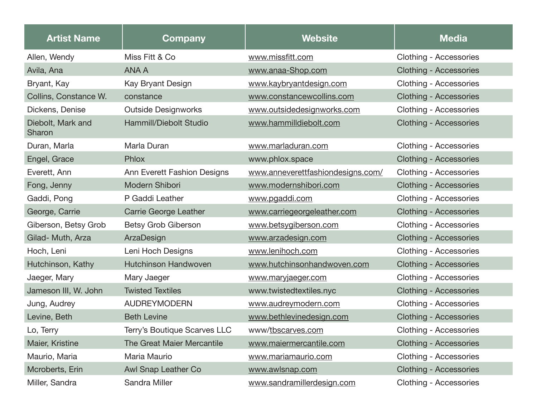| <b>Artist Name</b>          | <b>Company</b>               | <b>Website</b>                    | <b>Media</b>                  |
|-----------------------------|------------------------------|-----------------------------------|-------------------------------|
| Allen, Wendy                | Miss Fitt & Co               | www.missfitt.com                  | Clothing - Accessories        |
| Avila, Ana                  | <b>ANA A</b>                 | www.anaa-Shop.com                 | <b>Clothing - Accessories</b> |
| Bryant, Kay                 | Kay Bryant Design            | www.kaybryantdesign.com           | Clothing - Accessories        |
| Collins, Constance W.       | constance                    | www.constancewcollins.com         | <b>Clothing - Accessories</b> |
| Dickens, Denise             | <b>Outside Designworks</b>   | www.outsidedesignworks.com        | Clothing - Accessories        |
| Diebolt, Mark and<br>Sharon | Hammill/Diebolt Studio       | www.hammilldiebolt.com            | <b>Clothing - Accessories</b> |
| Duran, Marla                | Marla Duran                  | www.marladuran.com                | Clothing - Accessories        |
| Engel, Grace                | Phlox                        | www.phlox.space                   | <b>Clothing - Accessories</b> |
| Everett, Ann                | Ann Everett Fashion Designs  | www.anneverettfashiondesigns.com/ | Clothing - Accessories        |
| Fong, Jenny                 | Modern Shibori               | www.modernshibori.com             | <b>Clothing - Accessories</b> |
| Gaddi, Pong                 | P Gaddi Leather              | www.pgaddi.com                    | Clothing - Accessories        |
| George, Carrie              | <b>Carrie George Leather</b> | www.carriegeorgeleather.com       | <b>Clothing - Accessories</b> |
| Giberson, Betsy Grob        | <b>Betsy Grob Giberson</b>   | www.betsygiberson.com             | Clothing - Accessories        |
| Gilad- Muth, Arza           | ArzaDesign                   | www.arzadesign.com                | <b>Clothing - Accessories</b> |
| Hoch, Leni                  | Leni Hoch Designs            | www.lenihoch.com                  | Clothing - Accessories        |
| Hutchinson, Kathy           | <b>Hutchinson Handwoven</b>  | www.hutchinsonhandwoven.com       | <b>Clothing - Accessories</b> |
| Jaeger, Mary                | Mary Jaeger                  | www.maryjaeger.com                | Clothing - Accessories        |
| Jameson III, W. John        | <b>Twisted Textiles</b>      | www.twistedtextiles.nyc           | <b>Clothing - Accessories</b> |
| Jung, Audrey                | <b>AUDREYMODERN</b>          | www.audreymodern.com              | Clothing - Accessories        |
| Levine, Beth                | <b>Beth Levine</b>           | www.bethlevinedesign.com          | <b>Clothing - Accessories</b> |
| Lo, Terry                   | Terry's Boutique Scarves LLC | www/tbscarves.com                 | Clothing - Accessories        |
| Maier, Kristine             | The Great Maier Mercantile   | www.maiermercantile.com           | <b>Clothing - Accessories</b> |
| Maurio, Maria               | Maria Maurio                 | www.mariamaurio.com               | Clothing - Accessories        |
| Mcroberts, Erin             | Awl Snap Leather Co          | www.awlsnap.com                   | <b>Clothing - Accessories</b> |
| Miller, Sandra              | Sandra Miller                | www.sandramillerdesign.com        | Clothing - Accessories        |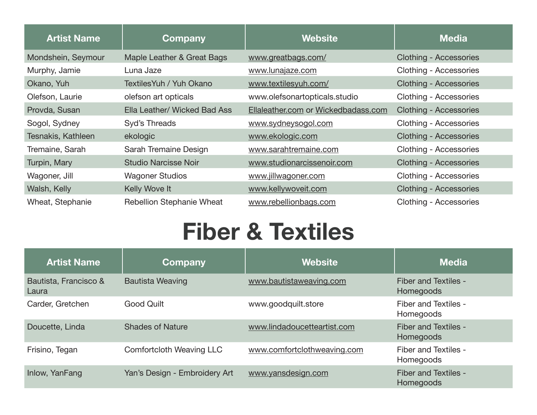| <b>Artist Name</b>        | Company                      | <b>Website</b>                      | Media                         |
|---------------------------|------------------------------|-------------------------------------|-------------------------------|
| Mondshein, Seymour        | Maple Leather & Great Bags   | www.greatbags.com/                  | <b>Clothing - Accessories</b> |
| Murphy, Jamie             | Luna Jaze                    | www.lunajaze.com                    | Clothing - Accessories        |
| Okano, Yuh                | Textiles Yuh / Yuh Okano     | www.textilesyuh.com/                | <b>Clothing - Accessories</b> |
| Olefson, Laurie           | olefson art opticals         | www.olefsonartopticals.studio       | Clothing - Accessories        |
| Provda, Susan             | Ella Leather/ Wicked Bad Ass | Ellaleather.com or Wickedbadass.com | <b>Clothing - Accessories</b> |
| Sogol, Sydney             | Syd's Threads                | www.sydneysogol.com                 | Clothing - Accessories        |
| <b>Tesnakis, Kathleen</b> | ekologic                     | www.ekologic.com                    | <b>Clothing - Accessories</b> |
| Tremaine, Sarah           | Sarah Tremaine Design        | www.sarahtremaine.com               | Clothing - Accessories        |
| Turpin, Mary              | <b>Studio Narcisse Noir</b>  | www.studionarcissenoir.com          | <b>Clothing - Accessories</b> |
| Wagoner, Jill             | <b>Wagoner Studios</b>       | www.jillwagoner.com                 | Clothing - Accessories        |
| Walsh, Kelly              | Kelly Wove It                | www.kellywoveit.com                 | <b>Clothing - Accessories</b> |
| Wheat, Stephanie          | Rebellion Stephanie Wheat    | www.rebellionbags.com               | Clothing - Accessories        |

### **Fiber & Textiles**

| <b>Artist Name</b>             | Company                         | <b>Website</b>              | <b>Media</b>                             |
|--------------------------------|---------------------------------|-----------------------------|------------------------------------------|
| Bautista, Francisco &<br>Laura | <b>Bautista Weaving</b>         | www.bautistaweaving.com     | Fiber and Textiles -<br>Homegoods        |
| Carder, Gretchen               | <b>Good Quilt</b>               | www.goodquilt.store         | Fiber and Textiles -<br>Homegoods        |
| Doucette, Linda                | <b>Shades of Nature</b>         | www.lindadoucetteartist.com | Fiber and Textiles -<br>Homegoods        |
| Frisino, Tegan                 | <b>Comfortcloth Weaving LLC</b> | www.comfortclothweaving.com | Fiber and Textiles -<br>Homegoods        |
| Inlow, YanFang                 | Yan's Design - Embroidery Art   | www.yansdesign.com          | <b>Fiber and Textiles -</b><br>Homegoods |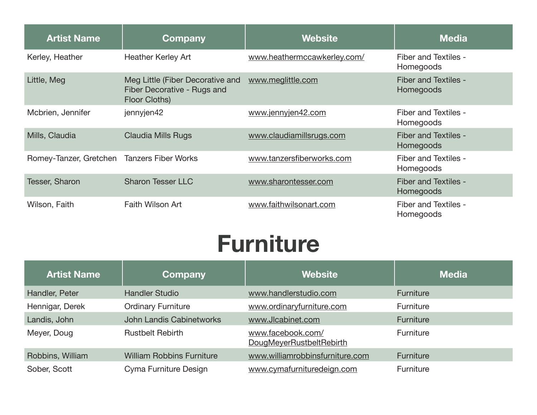| <b>Artist Name</b>                         | Company                                                                          | <b>Website</b>              | <b>Media</b>                             |
|--------------------------------------------|----------------------------------------------------------------------------------|-----------------------------|------------------------------------------|
| Kerley, Heather                            | <b>Heather Kerley Art</b>                                                        | www.heathermccawkerley.com/ | Fiber and Textiles -<br>Homegoods        |
| Little, Meg                                | Meg Little (Fiber Decorative and<br>Fiber Decorative - Rugs and<br>Floor Cloths) | www.meglittle.com           | Fiber and Textiles -<br>Homegoods        |
| Mcbrien, Jennifer                          | jennyjen42                                                                       | www.jennyjen42.com          | Fiber and Textiles -<br>Homegoods        |
| Mills, Claudia                             | <b>Claudia Mills Rugs</b>                                                        | www.claudiamillsrugs.com    | <b>Fiber and Textiles -</b><br>Homegoods |
| Romey-Tanzer, Gretchen Tanzers Fiber Works |                                                                                  | www.tanzersfiberworks.com   | Fiber and Textiles -<br>Homegoods        |
| <b>Tesser, Sharon</b>                      | <b>Sharon Tesser LLC</b>                                                         | www.sharontesser.com        | Fiber and Textiles -<br>Homegoods        |
| Wilson, Faith                              | <b>Faith Wilson Art</b>                                                          | www.faithwilsonart.com      | Fiber and Textiles -<br>Homegoods        |

#### **Furniture**

| <b>Artist Name</b> | <b>Company</b>                   | <b>Website</b>                                | <b>Media</b>     |
|--------------------|----------------------------------|-----------------------------------------------|------------------|
| Handler, Peter     | <b>Handler Studio</b>            | www.handlerstudio.com                         | Furniture        |
| Hennigar, Derek    | <b>Ordinary Furniture</b>        | www.ordinaryfurniture.com                     | Furniture        |
| Landis, John       | John Landis Cabinetworks         | www.Jlcabinet.com                             | Furniture        |
| Meyer, Doug        | <b>Rustbelt Rebirth</b>          | www.facebook.com/<br>DougMeyerRustbeltRebirth | Furniture        |
| Robbins, William   | <b>William Robbins Furniture</b> | www.williamrobbinsfurniture.com               | <b>Furniture</b> |
| Sober, Scott       | Cyma Furniture Design            | www.cymafurnituredeign.com                    | Furniture        |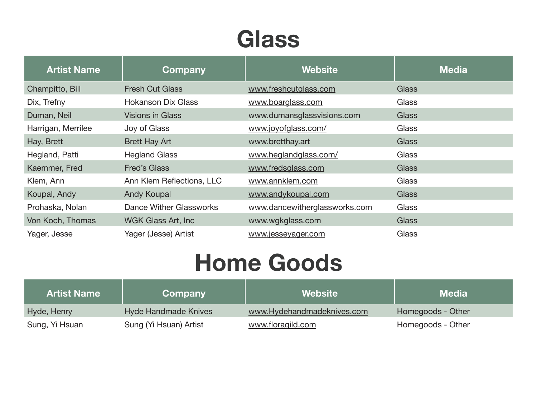## **Glass**

| <b>Artist Name</b> | <b>Company</b>            | <b>Website</b>                | <b>Media</b> |
|--------------------|---------------------------|-------------------------------|--------------|
| Champitto, Bill    | <b>Fresh Cut Glass</b>    | www.freshcutglass.com         | <b>Glass</b> |
| Dix, Trefny        | <b>Hokanson Dix Glass</b> | www.boarglass.com             | Glass        |
| Duman, Neil        | <b>Visions in Glass</b>   | www.dumansglassvisions.com    | <b>Glass</b> |
| Harrigan, Merrilee | Joy of Glass              | www.joyofglass.com/           | Glass        |
| Hay, Brett         | <b>Brett Hay Art</b>      | www.bretthay.art              | <b>Glass</b> |
| Hegland, Patti     | <b>Hegland Glass</b>      | www.heglandglass.com/         | Glass        |
| Kaemmer, Fred      | <b>Fred's Glass</b>       | www.fredsglass.com            | <b>Glass</b> |
| Klem, Ann          | Ann Klem Reflections, LLC | www.annklem.com               | Glass        |
| Koupal, Andy       | <b>Andy Koupal</b>        | www.andykoupal.com            | <b>Glass</b> |
| Prohaska, Nolan    | Dance Wither Glassworks   | www.dancewitherglassworks.com | Glass        |
| Von Koch, Thomas   | WGK Glass Art, Inc        | www.wgkglass.com              | <b>Glass</b> |
| Yager, Jesse       | Yager (Jesse) Artist      | www.jesseyager.com            | Glass        |

### **Home Goods**

| <b>Artist Name</b> | Company                | <b>Website</b>             | <b>Media</b>      |
|--------------------|------------------------|----------------------------|-------------------|
| Hyde, Henry        | Hyde Handmade Knives   | www.Hydehandmadeknives.com | Homegoods - Other |
| Sung, Yi Hsuan     | Sung (Yi Hsuan) Artist | www.floragild.com          | Homegoods - Other |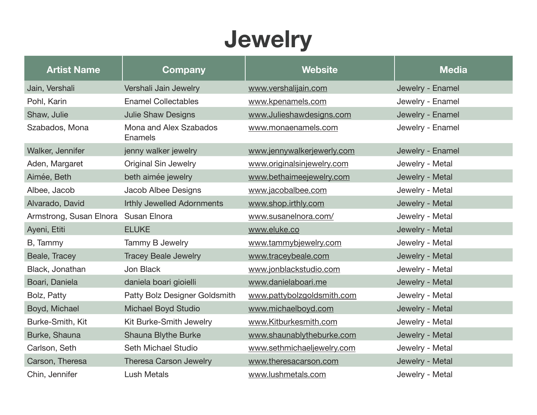## **Jewelry**

| <b>Artist Name</b>                   | Company                           | <b>Website</b>             | <b>Media</b>     |
|--------------------------------------|-----------------------------------|----------------------------|------------------|
| Jain, Vershali                       | Vershali Jain Jewelry             | www.vershalijain.com       | Jewelry - Enamel |
| Pohl, Karin                          | <b>Enamel Collectables</b>        | www.kpenamels.com          | Jewelry - Enamel |
| Shaw, Julie                          | <b>Julie Shaw Designs</b>         | www.Julieshawdesigns.com   | Jewelry - Enamel |
| Szabados, Mona                       | Mona and Alex Szabados<br>Enamels | www.monaenamels.com        | Jewelry - Enamel |
| Walker, Jennifer                     | jenny walker jewelry              | www.jennywalkerjewerly.com | Jewelry - Enamel |
| Aden, Margaret                       | <b>Original Sin Jewelry</b>       | www.originalsinjewelry.com | Jewelry - Metal  |
| Aimée, Beth                          | beth aimée jewelry                | www.bethaimeejewelry.com   | Jewelry - Metal  |
| Albee, Jacob                         | Jacob Albee Designs               | www.jacobalbee.com         | Jewelry - Metal  |
| Alvarado, David                      | <b>Irthly Jewelled Adornments</b> | www.shop.irthly.com        | Jewelry - Metal  |
| Armstrong, Susan Elnora Susan Elnora |                                   | www.susanelnora.com/       | Jewelry - Metal  |
| Ayeni, Etiti                         | <b>ELUKE</b>                      | www.eluke.co               | Jewelry - Metal  |
| B, Tammy                             | Tammy B Jewelry                   | www.tammybjewelry.com      | Jewelry - Metal  |
| Beale, Tracey                        | <b>Tracey Beale Jewelry</b>       | www.traceybeale.com        | Jewelry - Metal  |
| Black, Jonathan                      | Jon Black                         | www.jonblackstudio.com     | Jewelry - Metal  |
| Boari, Daniela                       | daniela boari gioielli            | www.danielaboari.me        | Jewelry - Metal  |
| Bolz, Patty                          | Patty Bolz Designer Goldsmith     | www.pattybolzgoldsmith.com | Jewelry - Metal  |
| Boyd, Michael                        | <b>Michael Boyd Studio</b>        | www.michaelboyd.com        | Jewelry - Metal  |
| Burke-Smith, Kit                     | Kit Burke-Smith Jewelry           | www.Kitburkesmith.com      | Jewelry - Metal  |
| Burke, Shauna                        | Shauna Blythe Burke               | www.shaunablytheburke.com  | Jewelry - Metal  |
| Carlson, Seth                        | Seth Michael Studio               | www.sethmichaeljewelry.com | Jewelry - Metal  |
| Carson, Theresa                      | Theresa Carson Jewelry            | www.theresacarson.com      | Jewelry - Metal  |
| Chin, Jennifer                       | <b>Lush Metals</b>                | www.lushmetals.com         | Jewelry - Metal  |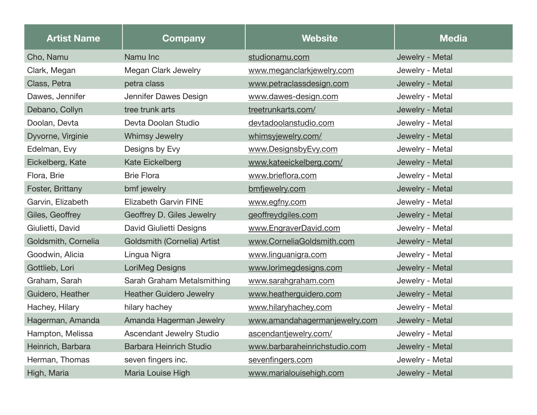| <b>Artist Name</b>  | Company                            | <b>Website</b>                | <b>Media</b>    |
|---------------------|------------------------------------|-------------------------------|-----------------|
| Cho, Namu           | Namu Inc                           | studionamu.com                | Jewelry - Metal |
| Clark, Megan        | <b>Megan Clark Jewelry</b>         | www.meganclarkjewelry.com     | Jewelry - Metal |
| Class, Petra        | petra class                        | www.petraclassdesign.com      | Jewelry - Metal |
| Dawes, Jennifer     | Jennifer Dawes Design              | www.dawes-design.com          | Jewelry - Metal |
| Debano, Collyn      | tree trunk arts                    | treetrunkarts.com/            | Jewelry - Metal |
| Doolan, Devta       | Devta Doolan Studio                | devtadoolanstudio.com         | Jewelry - Metal |
| Dyvorne, Virginie   | <b>Whimsy Jewelry</b>              | whimsyjewelry.com/            | Jewelry - Metal |
| Edelman, Evy        | Designs by Evy                     | www.DesignsbyEvy.com          | Jewelry - Metal |
| Eickelberg, Kate    | Kate Eickelberg                    | www.kateeickelberg.com/       | Jewelry - Metal |
| Flora, Brie         | <b>Brie Flora</b>                  | www.brieflora.com             | Jewelry - Metal |
| Foster, Brittany    | bmf jewelry                        | bmfjewelry.com                | Jewelry - Metal |
| Garvin, Elizabeth   | <b>Elizabeth Garvin FINE</b>       | www.egfny.com                 | Jewelry - Metal |
| Giles, Geoffrey     | Geoffrey D. Giles Jewelry          | geoffreydgiles.com            | Jewelry - Metal |
| Giulietti, David    | David Giulietti Designs            | www.EngraverDavid.com         | Jewelry - Metal |
| Goldsmith, Cornelia | <b>Goldsmith (Cornelia) Artist</b> | www.CorneliaGoldsmith.com     | Jewelry - Metal |
| Goodwin, Alicia     | Lingua Nigra                       | www.linguanigra.com           | Jewelry - Metal |
| Gottlieb, Lori      | LoriMeg Designs                    | www.lorimegdesigns.com        | Jewelry - Metal |
| Graham, Sarah       | Sarah Graham Metalsmithing         | www.sarahgraham.com           | Jewelry - Metal |
| Guidero, Heather    | <b>Heather Guidero Jewelry</b>     | www.heatherguidero.com        | Jewelry - Metal |
| Hachey, Hilary      | hilary hachey                      | www.hilaryhachey.com          | Jewelry - Metal |
| Hagerman, Amanda    | Amanda Hagerman Jewelry            | www.amandahagermanjewelry.com | Jewelry - Metal |
| Hampton, Melissa    | <b>Ascendant Jewelry Studio</b>    | ascendantjewelry.com/         | Jewelry - Metal |
| Heinrich, Barbara   | <b>Barbara Heinrich Studio</b>     | www.barbaraheinrichstudio.com | Jewelry - Metal |
| Herman, Thomas      | seven fingers inc.                 | sevenfingers.com              | Jewelry - Metal |
| High, Maria         | Maria Louise High                  | www.marialouisehigh.com       | Jewelry - Metal |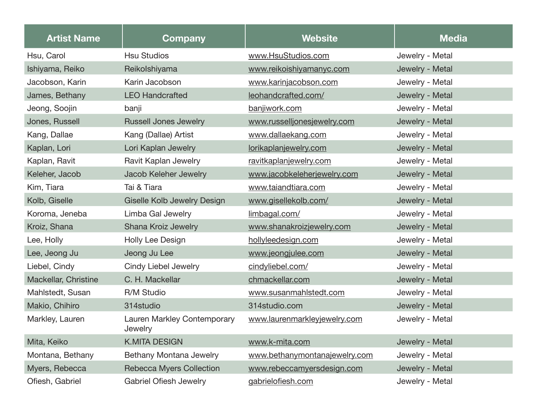| <b>Artist Name</b>   | Company                                | <b>Website</b>                | <b>Media</b>    |
|----------------------|----------------------------------------|-------------------------------|-----------------|
| Hsu, Carol           | <b>Hsu Studios</b>                     | www.HsuStudios.com            | Jewelry - Metal |
| Ishiyama, Reiko      | Reikolshiyama                          | www.reikoishiyamanyc.com      | Jewelry - Metal |
| Jacobson, Karin      | Karin Jacobson                         | www.karinjacobson.com         | Jewelry - Metal |
| James, Bethany       | <b>LEO Handcrafted</b>                 | leohandcrafted.com/           | Jewelry - Metal |
| Jeong, Soojin        | banji                                  | banjiwork.com                 | Jewelry - Metal |
| Jones, Russell       | <b>Russell Jones Jewelry</b>           | www.russelljonesjewelry.com   | Jewelry - Metal |
| Kang, Dallae         | Kang (Dallae) Artist                   | www.dallaekang.com            | Jewelry - Metal |
| Kaplan, Lori         | Lori Kaplan Jewelry                    | lorikaplanjewelry.com         | Jewelry - Metal |
| Kaplan, Ravit        | Ravit Kaplan Jewelry                   | ravitkaplanjewelry.com        | Jewelry - Metal |
| Keleher, Jacob       | Jacob Keleher Jewelry                  | www.jacobkeleherjewelry.com   | Jewelry - Metal |
| Kim, Tiara           | Tai & Tiara                            | www.taiandtiara.com           | Jewelry - Metal |
| Kolb, Giselle        | Giselle Kolb Jewelry Design            | www.gisellekolb.com/          | Jewelry - Metal |
| Koroma, Jeneba       | Limba Gal Jewelry                      | limbagal.com/                 | Jewelry - Metal |
| Kroiz, Shana         | Shana Kroiz Jewelry                    | www.shanakroizjewelry.com     | Jewelry - Metal |
| Lee, Holly           | Holly Lee Design                       | hollyleedesign.com            | Jewelry - Metal |
| Lee, Jeong Ju        | Jeong Ju Lee                           | www.jeongjulee.com            | Jewelry - Metal |
| Liebel, Cindy        | <b>Cindy Liebel Jewelry</b>            | cindyliebel.com/              | Jewelry - Metal |
| Mackellar, Christine | C. H. Mackellar                        | chmackellar.com               | Jewelry - Metal |
| Mahlstedt, Susan     | R/M Studio                             | www.susanmahlstedt.com        | Jewelry - Metal |
| Makio, Chihiro       | 314studio                              | 314studio.com                 | Jewelry - Metal |
| Markley, Lauren      | Lauren Markley Contemporary<br>Jewelry | www.laurenmarkleyjewelry.com  | Jewelry - Metal |
| Mita, Keiko          | <b>K.MITA DESIGN</b>                   | www.k-mita.com                | Jewelry - Metal |
| Montana, Bethany     | Bethany Montana Jewelry                | www.bethanymontanajewelry.com | Jewelry - Metal |
| Myers, Rebecca       | <b>Rebecca Myers Collection</b>        | www.rebeccamyersdesign.com    | Jewelry - Metal |
| Ofiesh, Gabriel      | <b>Gabriel Ofiesh Jewelry</b>          | gabrielofiesh.com             | Jewelry - Metal |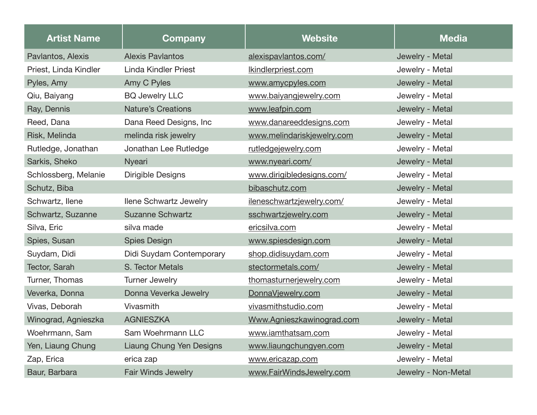| <b>Artist Name</b>    | Company                         | <b>Website</b>             | <b>Media</b>        |
|-----------------------|---------------------------------|----------------------------|---------------------|
| Pavlantos, Alexis     | <b>Alexis Pavlantos</b>         | alexispavlantos.com/       | Jewelry - Metal     |
| Priest, Linda Kindler | <b>Linda Kindler Priest</b>     | Ikindlerpriest.com         | Jewelry - Metal     |
| Pyles, Amy            | Amy C Pyles                     | www.amycpyles.com          | Jewelry - Metal     |
| Qiu, Baiyang          | <b>BQ Jewelry LLC</b>           | www.baiyangjewelry.com     | Jewelry - Metal     |
| Ray, Dennis           | <b>Nature's Creations</b>       | www.leafpin.com            | Jewelry - Metal     |
| Reed, Dana            | Dana Reed Designs, Inc          | www.danareeddesigns.com    | Jewelry - Metal     |
| Risk, Melinda         | melinda risk jewelry            | www.melindariskjewelry.com | Jewelry - Metal     |
| Rutledge, Jonathan    | Jonathan Lee Rutledge           | rutledgejewelry.com        | Jewelry - Metal     |
| Sarkis, Sheko         | <b>Nyeari</b>                   | www.nyeari.com/            | Jewelry - Metal     |
| Schlossberg, Melanie  | <b>Dirigible Designs</b>        | www.dirigibledesigns.com/  | Jewelry - Metal     |
| Schutz, Biba          |                                 | bibaschutz.com             | Jewelry - Metal     |
| Schwartz, Ilene       | <b>Ilene Schwartz Jewelry</b>   | ileneschwartzjewelry.com/  | Jewelry - Metal     |
| Schwartz, Suzanne     | <b>Suzanne Schwartz</b>         | sschwartzjewelry.com       | Jewelry - Metal     |
| Silva, Eric           | silva made                      | ericsilva.com              | Jewelry - Metal     |
| Spies, Susan          | <b>Spies Design</b>             | www.spiesdesign.com        | Jewelry - Metal     |
| Suydam, Didi          | Didi Suydam Contemporary        | shop.didisuydam.com        | Jewelry - Metal     |
| Tector, Sarah         | S. Tector Metals                | stectormetals.com/         | Jewelry - Metal     |
| Turner, Thomas        | <b>Turner Jewelry</b>           | thomasturnerjewelry.com    | Jewelry - Metal     |
| Veverka, Donna        | Donna Veverka Jewelry           | DonnaVjewelry.com          | Jewelry - Metal     |
| Vivas, Deborah        | Vivasmith                       | vivasmithstudio.com        | Jewelry - Metal     |
| Winograd, Agnieszka   | <b>AGNIESZKA</b>                | Www.Agnieszkawinograd.com  | Jewelry - Metal     |
| Woehrmann, Sam        | Sam Woehrmann LLC               | www.iamthatsam.com         | Jewelry - Metal     |
| Yen, Liaung Chung     | <b>Liaung Chung Yen Designs</b> | www.liaungchungyen.com     | Jewelry - Metal     |
| Zap, Erica            | erica zap                       | www.ericazap.com           | Jewelry - Metal     |
| Baur, Barbara         | <b>Fair Winds Jewelry</b>       | www.FairWindsJewelry.com   | Jewelry - Non-Metal |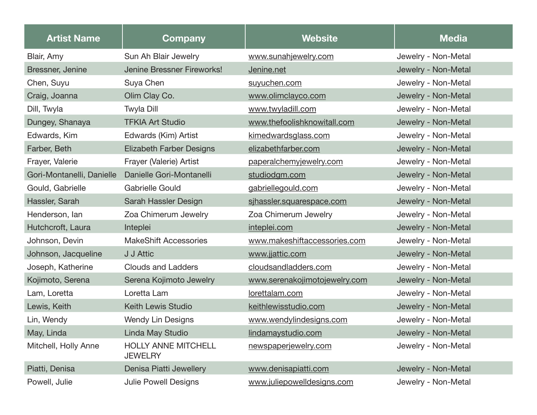| <b>Artist Name</b>        | <b>Company</b>                               | <b>Website</b>                | <b>Media</b>        |
|---------------------------|----------------------------------------------|-------------------------------|---------------------|
| Blair, Amy                | Sun Ah Blair Jewelry                         | www.sunahjewelry.com          | Jewelry - Non-Metal |
| Bressner, Jenine          | Jenine Bressner Fireworks!                   | Jenine.net                    | Jewelry - Non-Metal |
| Chen, Suyu                | Suya Chen                                    | suyuchen.com                  | Jewelry - Non-Metal |
| Craig, Joanna             | Olim Clay Co.                                | www.olimclayco.com            | Jewelry - Non-Metal |
| Dill, Twyla               | <b>Twyla Dill</b>                            | www.twyladill.com             | Jewelry - Non-Metal |
| Dungey, Shanaya           | <b>TFKIA Art Studio</b>                      | www.thefoolishknowitall.com   | Jewelry - Non-Metal |
| Edwards, Kim              | Edwards (Kim) Artist                         | kimedwardsglass.com           | Jewelry - Non-Metal |
| Farber, Beth              | <b>Elizabeth Farber Designs</b>              | elizabethfarber.com           | Jewelry - Non-Metal |
| Frayer, Valerie           | Frayer (Valerie) Artist                      | paperalchemyjewelry.com       | Jewelry - Non-Metal |
| Gori-Montanelli, Danielle | Danielle Gori-Montanelli                     | studiodgm.com                 | Jewelry - Non-Metal |
| Gould, Gabrielle          | <b>Gabrielle Gould</b>                       | gabriellegould.com            | Jewelry - Non-Metal |
| Hassler, Sarah            | Sarah Hassler Design                         | sjhassler.squarespace.com     | Jewelry - Non-Metal |
| Henderson, lan            | Zoa Chimerum Jewelry                         | Zoa Chimerum Jewelry          | Jewelry - Non-Metal |
| Hutchcroft, Laura         | Inteplei                                     | inteplei.com                  | Jewelry - Non-Metal |
| Johnson, Devin            | <b>MakeShift Accessories</b>                 | www.makeshiftaccessories.com  | Jewelry - Non-Metal |
| Johnson, Jacqueline       | J J Attic                                    | www.jjattic.com               | Jewelry - Non-Metal |
| Joseph, Katherine         | <b>Clouds and Ladders</b>                    | cloudsandladders.com          | Jewelry - Non-Metal |
| Kojimoto, Serena          | Serena Kojimoto Jewelry                      | www.serenakojimotojewelry.com | Jewelry - Non-Metal |
| Lam, Loretta              | Loretta Lam                                  | lorettalam.com                | Jewelry - Non-Metal |
| Lewis, Keith              | <b>Keith Lewis Studio</b>                    | keithlewisstudio.com          | Jewelry - Non-Metal |
| Lin, Wendy                | <b>Wendy Lin Designs</b>                     | www.wendylindesigns.com       | Jewelry - Non-Metal |
| May, Linda                | <b>Linda May Studio</b>                      | lindamaystudio.com            | Jewelry - Non-Metal |
| Mitchell, Holly Anne      | <b>HOLLY ANNE MITCHELL</b><br><b>JEWELRY</b> | newspaperjewelry.com          | Jewelry - Non-Metal |
| Piatti, Denisa            | Denisa Piatti Jewellery                      | www.denisapiatti.com          | Jewelry - Non-Metal |
| Powell, Julie             | <b>Julie Powell Designs</b>                  | www.juliepowelldesigns.com    | Jewelry - Non-Metal |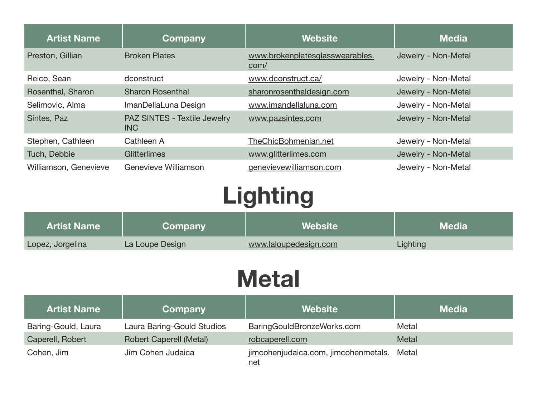| <b>Artist Name</b>    | Company                                    | <b>Website</b>                          | <b>Media</b>        |
|-----------------------|--------------------------------------------|-----------------------------------------|---------------------|
| Preston, Gillian      | <b>Broken Plates</b>                       | www.brokenplatesglasswearables.<br>com/ | Jewelry - Non-Metal |
| Reico, Sean           | dconstruct                                 | www.dconstruct.ca/                      | Jewelry - Non-Metal |
| Rosenthal, Sharon     | <b>Sharon Rosenthal</b>                    | sharonrosenthaldesign.com               | Jewelry - Non-Metal |
| Selimovic, Alma       | ImanDellaLuna Design                       | www.imandellaluna.com                   | Jewelry - Non-Metal |
| Sintes, Paz           | PAZ SINTES - Textile Jewelry<br><b>INC</b> | www.pazsintes.com                       | Jewelry - Non-Metal |
| Stephen, Cathleen     | Cathleen A                                 | TheChicBohmenian.net                    | Jewelry - Non-Metal |
| Tuch, Debbie          | Glitterlimes                               | www.glitterlimes.com                    | Jewelry - Non-Metal |
| Williamson, Genevieve | Genevieve Williamson                       | genevievewilliamson.com                 | Jewelry - Non-Metal |

## **Lighting**

| <b>Artist Name</b> | Company         | <b>Website</b>        | l Media <sup>∖</sup> |
|--------------------|-----------------|-----------------------|----------------------|
| Lopez, Jorgelina   | La Loupe Design | www.laloupedesign.com | Lighting             |

#### **Metal**

| <b>Artist Name</b>  | Company                        | <b>Website</b>                                     | <b>Media</b> |
|---------------------|--------------------------------|----------------------------------------------------|--------------|
| Baring-Gould, Laura | Laura Baring-Gould Studios     | BaringGouldBronzeWorks.com                         | Metal        |
| Caperell, Robert    | <b>Robert Caperell (Metal)</b> | robcaperell.com                                    | Metal        |
| Cohen, Jim          | Jim Cohen Judaica              | jimcohenjudaica.com, jimcohenmetals.<br><u>net</u> | Metal        |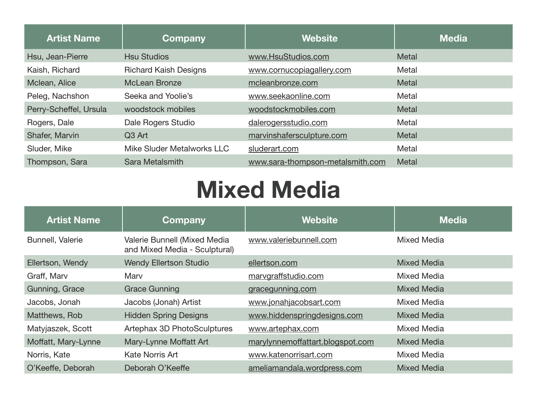| <b>Artist Name</b>     | Company                      | <b>Website</b>                   | <b>Media</b> |
|------------------------|------------------------------|----------------------------------|--------------|
| Hsu, Jean-Pierre       | <b>Hsu Studios</b>           | www.HsuStudios.com               | <b>Metal</b> |
| Kaish, Richard         | <b>Richard Kaish Designs</b> | www.cornucopiagallery.com        | Metal        |
| Mclean, Alice          | <b>McLean Bronze</b>         | mcleanbronze.com                 | <b>Metal</b> |
| Peleg, Nachshon        | Seeka and Yoolie's           | www.seekaonline.com              | Metal        |
| Perry-Scheffel, Ursula | woodstock mobiles            | woodstockmobiles.com             | <b>Metal</b> |
| Rogers, Dale           | Dale Rogers Studio           | dalerogersstudio.com             | Metal        |
| Shafer, Marvin         | Q3 Art                       | marvinshafersculpture.com        | <b>Metal</b> |
| Sluder, Mike           | Mike Sluder Metalworks LLC   | sluderart.com                    | Metal        |
| Thompson, Sara         | Sara Metalsmith              | www.sara-thompson-metalsmith.com | Metal        |

#### **Mixed Media**

| <b>Artist Name</b>  | Company                                                       | <b>Website</b>                   | <b>Media</b>       |
|---------------------|---------------------------------------------------------------|----------------------------------|--------------------|
| Bunnell, Valerie    | Valerie Bunnell (Mixed Media<br>and Mixed Media - Sculptural) | www.valeriebunnell.com           | <b>Mixed Media</b> |
| Ellertson, Wendy    | <b>Wendy Ellertson Studio</b>                                 | ellertson.com                    | <b>Mixed Media</b> |
| Graff, Marv         | Marv                                                          | marvgraffstudio.com              | <b>Mixed Media</b> |
| Gunning, Grace      | <b>Grace Gunning</b>                                          | gracegunning.com                 | <b>Mixed Media</b> |
| Jacobs, Jonah       | Jacobs (Jonah) Artist                                         | www.jonahjacobsart.com           | <b>Mixed Media</b> |
| Matthews, Rob       | <b>Hidden Spring Designs</b>                                  | www.hiddenspringdesigns.com      | <b>Mixed Media</b> |
| Matyjaszek, Scott   | Artephax 3D PhotoSculptures                                   | www.artephax.com                 | <b>Mixed Media</b> |
| Moffatt, Mary-Lynne | Mary-Lynne Moffatt Art                                        | marylynnemoffattart.blogspot.com | <b>Mixed Media</b> |
| Norris, Kate        | Kate Norris Art                                               | www.katenorrisart.com            | <b>Mixed Media</b> |
| O'Keeffe, Deborah   | Deborah O'Keeffe                                              | ameliamandala.wordpress.com      | <b>Mixed Media</b> |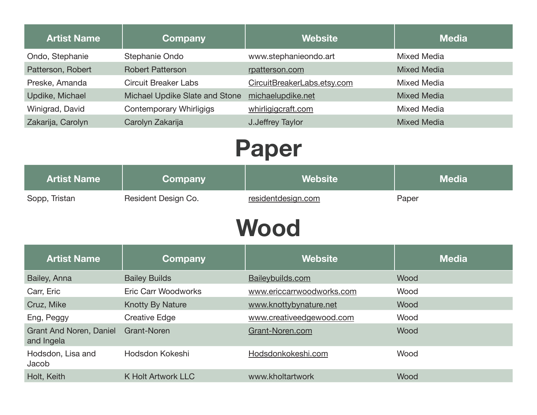| <b>Artist Name</b> | Company                        | <b>Website</b>              | <b>Media</b>       |
|--------------------|--------------------------------|-----------------------------|--------------------|
| Ondo, Stephanie    | Stephanie Ondo                 | www.stephanieondo.art       | Mixed Media        |
| Patterson, Robert  | <b>Robert Patterson</b>        | rpatterson.com              | <b>Mixed Media</b> |
| Preske, Amanda     | <b>Circuit Breaker Labs</b>    | CircuitBreakerLabs.etsy.com | Mixed Media        |
| Updike, Michael    | Michael Updike Slate and Stone | michaelupdike.net           | <b>Mixed Media</b> |
| Winigrad, David    | Contemporary Whirligigs        | whirligigcraft.com          | Mixed Media        |
| Zakarija, Carolyn  | Carolyn Zakarija               | J.Jeffrey Taylor            | <b>Mixed Media</b> |
|                    |                                |                             |                    |

## **Paper**

| <b>Artist Name</b> | Company             | Website            | <b>Media</b> |
|--------------------|---------------------|--------------------|--------------|
| Sopp, Tristan      | Resident Design Co. | residentdesign.com | Paper        |

#### **Wood**

| <b>Artist Name</b>                           | Company                    | <b>Website</b>            | <b>Media</b> |
|----------------------------------------------|----------------------------|---------------------------|--------------|
| Bailey, Anna                                 | <b>Bailey Builds</b>       | Baileybuilds.com          | Wood         |
| Carr, Eric                                   | <b>Eric Carr Woodworks</b> | www.ericcarrwoodworks.com | Wood         |
| Cruz, Mike                                   | <b>Knotty By Nature</b>    | www.knottybynature.net    | Wood         |
| Eng, Peggy                                   | Creative Edge              | www.creativeedgewood.com  | Wood         |
| <b>Grant And Noren, Daniel</b><br>and Ingela | Grant-Noren                | Grant-Noren.com           | Wood         |
| Hodsdon, Lisa and<br>Jacob                   | Hodsdon Kokeshi            | Hodsdonkokeshi.com        | Wood         |
| Holt, Keith                                  | <b>K Holt Artwork LLC</b>  | www.kholtartwork          | Wood         |